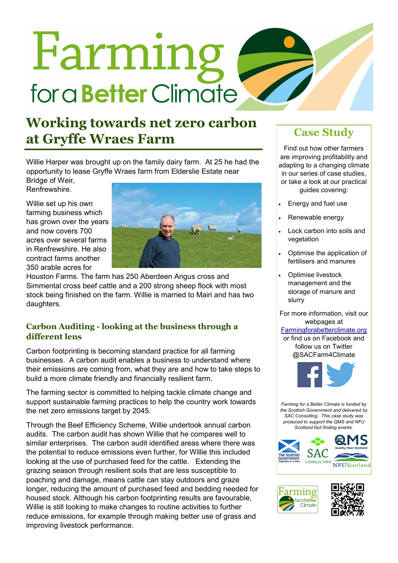# Farming for a **Better** Climate

# **Working towards net zero carbon at Gryffe Wraes Farm Case Study**

Willie Harper was brought up on the family dairy farm. At 25 he had the opportunity to lease Gryffe Wraes farm from Elderslie Estate near

Bridge of Weir, Renfrewshire.

Willie set up his own farming business which has grown over the years and now covers 700 acres over several farms in Renfrewshire. He also contract farms another 350 arable acres for



Houston Farms. The farm has 250 Aberdeen Angus cross and Simmental cross beef cattle and a 200 strong sheep flock with most stock being finished on the farm. Willie is married to Mairi and has two daughters.

# **Carbon Auditing - looking at the business through a different lens**

Carbon footprinting is becoming standard practice for all farming businesses. A carbon audit enables a business to understand where their emissions are coming from, what they are and how to take steps to build a more climate friendly and financially resilient farm.

The farming sector is committed to helping tackle climate change and support sustainable farming practices to help the country work towards the net zero emissions target by 2045.

Through the Beef Efficiency Scheme, Willie undertook annual carbon audits. The carbon audit has shown Willie that he compares well to similar enterprises. The carbon audit identified areas where there was the potential to reduce emissions even further, for Willie this included looking at the use of purchased feed for the cattle. Extending the grazing season through resilient soils that are less susceptible to poaching and damage, means cattle can stay outdoors and graze longer, reducing the amount of purchased feed and bedding needed for housed stock. Although his carbon footprinting results are favourable, Willie is still looking to make changes to routine activities to further reduce emissions, for example through making better use of grass and improving livestock performance.

Find out how other farmers are improving profitability and adapting to a changing climate in our series of case studies, or take a look at our practical guides covering:

- Energy and fuel use
- Renewable energy
- Lock carbon into soils and vegetation
- Optimise the application of fertilisers and manures
- Optimise livestock management and the storage of manure and slurry

For more information, visit our webpages at

### [Farmingforabetterclimate.org](http://www.farmingforabetterclimate.org/)

or find us on Facebook and follow us on Twitter @SACFarm4Climate



*Farming for a Better Climate is funded by the Scottish Government and delivered by SAC Consulting. This case study was produced to support the QMS and NFU Scotland fact finding events.*